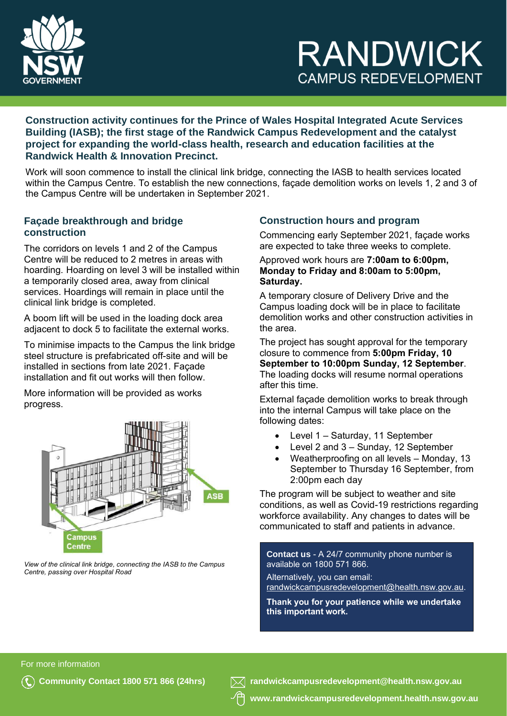

# **RANDWICK CAMPUS REDEVELOPMENT**

**Construction activity continues for the Prince of Wales Hospital Integrated Acute Services Building (IASB); the first stage of the Randwick Campus Redevelopment and the catalyst project for expanding the world-class health, research and education facilities at the Randwick Health & Innovation Precinct.**

Work will soon commence to install the clinical link bridge, connecting the IASB to health services located within the Campus Centre. To establish the new connections, façade demolition works on levels 1, 2 and 3 of the Campus Centre will be undertaken in September 2021.

## **Façade breakthrough and bridge construction**

The corridors on levels 1 and 2 of the Campus Centre will be reduced to 2 metres in areas with hoarding. Hoarding on level 3 will be installed within a temporarily closed area, away from clinical services. Hoardings will remain in place until the clinical link bridge is completed.

A boom lift will be used in the loading dock area adjacent to dock 5 to facilitate the external works.

To minimise impacts to the Campus the link bridge steel structure is prefabricated off-site and will be installed in sections from late 2021. Façade installation and fit out works will then follow.

More information will be provided as works progress.



*View of the clinical link bridge, connecting the IASB to the Campus Centre, passing over Hospital Road*

# **Construction hours and program**

Commencing early September 2021, façade works are expected to take three weeks to complete.

#### Approved work hours are **7:00am to 6:00pm, Monday to Friday and 8:00am to 5:00pm, Saturday.**

A temporary closure of Delivery Drive and the Campus loading dock will be in place to facilitate demolition works and other construction activities in the area.

The project has sought approval for the temporary closure to commence from **5:00pm Friday, 10 September to 10:00pm Sunday, 12 September**. The loading docks will resume normal operations after this time.

External façade demolition works to break through into the internal Campus will take place on the following dates:

- Level 1 Saturday, 11 September
- Level 2 and 3 Sunday, 12 September
- Weatherproofing on all levels Monday, 13 September to Thursday 16 September, from 2:00pm each day

The program will be subject to weather and site conditions, as well as Covid-19 restrictions regarding workforce availability. Any changes to dates will be communicated to staff and patients in advance.

**Contact us** - A 24/7 community phone number is available on 1800 571 866.

Alternatively, you can email: [randwickcampusredevelopment@health.nsw.gov.au.](mailto:randwickcampusredevelopment@health.nsw.gov.au)

**Thank you for your patience while we undertake this important work.**

For more information



**Community Contact 1800 571 866 (24hrs) [randwickcampusredevelopment@health.nsw.gov.au](mailto:randwickcampusredevelopment@health.nsw.gov.au)**

**www[.randwickcampusredevelopment.health.nsw.gov.au](http://www.randwickcampusredevelopment.health.nsw.gov.au/)**